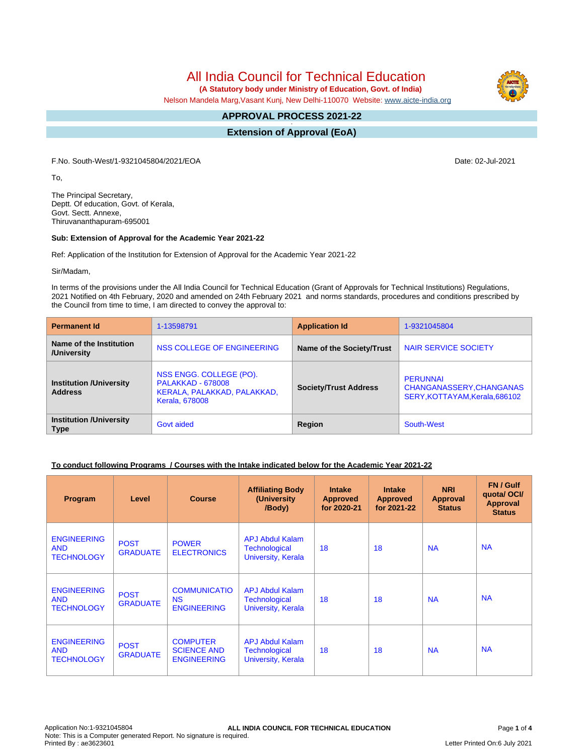# All India Council for Technical Education

 **(A Statutory body under Ministry of Education, Govt. of India)**

Nelson Mandela Marg,Vasant Kunj, New Delhi-110070 Website: [www.aicte-india.org](http://www.aicte-india.org)

#### **APPROVAL PROCESS 2021-22 -**

**Extension of Approval (EoA)**

F.No. South-West/1-9321045804/2021/EOA Date: 02-Jul-2021

To,

The Principal Secretary, Deptt. Of education, Govt. of Kerala, Govt. Sectt. Annexe, Thiruvananthapuram-695001

### **Sub: Extension of Approval for the Academic Year 2021-22**

Ref: Application of the Institution for Extension of Approval for the Academic Year 2021-22

Sir/Madam,

In terms of the provisions under the All India Council for Technical Education (Grant of Approvals for Technical Institutions) Regulations, 2021 Notified on 4th February, 2020 and amended on 24th February 2021 and norms standards, procedures and conditions prescribed by the Council from time to time, I am directed to convey the approval to:

| <b>Permanent Id</b>                              | 1-13598791                                                                                                  | <b>Application Id</b>        | 1-9321045804                                                                  |  |
|--------------------------------------------------|-------------------------------------------------------------------------------------------------------------|------------------------------|-------------------------------------------------------------------------------|--|
| Name of the Institution<br>/University           | NSS COLLEGE OF ENGINEERING                                                                                  | Name of the Society/Trust    | NAIR SERVICE SOCIETY                                                          |  |
| <b>Institution /University</b><br><b>Address</b> | NSS ENGG. COLLEGE (PO).<br><b>PALAKKAD - 678008</b><br>KERALA, PALAKKAD, PALAKKAD,<br><b>Kerala, 678008</b> | <b>Society/Trust Address</b> | <b>PERUNNAL</b><br>CHANGANASSERY, CHANGANAS<br>SERY, KOTTAYAM, Kerala, 686102 |  |
| <b>Institution /University</b><br><b>Type</b>    | Govt aided                                                                                                  | Region                       | South-West                                                                    |  |

## **To conduct following Programs / Courses with the Intake indicated below for the Academic Year 2021-22**

| Program                                               | Level                          | <b>Course</b>                                               | <b>Affiliating Body</b><br>(University<br>/Body)                     | <b>Intake</b><br><b>Approved</b><br>for 2020-21 | <b>Intake</b><br><b>Approved</b><br>for 2021-22 | <b>NRI</b><br>Approval<br><b>Status</b> | FN / Gulf<br>quotal OCI/<br><b>Approval</b><br><b>Status</b> |
|-------------------------------------------------------|--------------------------------|-------------------------------------------------------------|----------------------------------------------------------------------|-------------------------------------------------|-------------------------------------------------|-----------------------------------------|--------------------------------------------------------------|
| <b>ENGINEERING</b><br><b>AND</b><br><b>TECHNOLOGY</b> | <b>POST</b><br><b>GRADUATE</b> | <b>POWER</b><br><b>ELECTRONICS</b>                          | <b>APJ Abdul Kalam</b><br><b>Technological</b><br>University, Kerala | 18                                              | 18                                              | <b>NA</b>                               | <b>NA</b>                                                    |
| <b>ENGINEERING</b><br><b>AND</b><br><b>TECHNOLOGY</b> | <b>POST</b><br><b>GRADUATE</b> | <b>COMMUNICATIO</b><br><b>NS</b><br><b>ENGINEERING</b>      | <b>APJ Abdul Kalam</b><br><b>Technological</b><br>University, Kerala | 18                                              | 18                                              | <b>NA</b>                               | <b>NA</b>                                                    |
| <b>ENGINEERING</b><br><b>AND</b><br><b>TECHNOLOGY</b> | <b>POST</b><br><b>GRADUATE</b> | <b>COMPUTER</b><br><b>SCIENCE AND</b><br><b>ENGINEERING</b> | <b>APJ Abdul Kalam</b><br><b>Technological</b><br>University, Kerala | 18                                              | 18                                              | <b>NA</b>                               | <b>NA</b>                                                    |

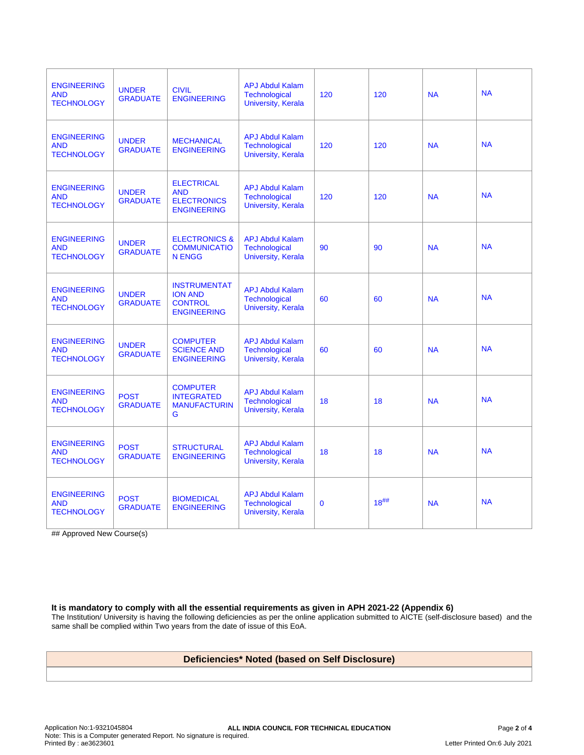| <b>ENGINEERING</b><br><b>AND</b><br><b>TECHNOLOGY</b> | <b>UNDER</b><br><b>GRADUATE</b> | <b>CIVIL</b><br><b>ENGINEERING</b>                                            | <b>APJ Abdul Kalam</b><br><b>Technological</b><br><b>University, Kerala</b> | 120      | 120       | <b>NA</b> | <b>NA</b> |
|-------------------------------------------------------|---------------------------------|-------------------------------------------------------------------------------|-----------------------------------------------------------------------------|----------|-----------|-----------|-----------|
| <b>ENGINEERING</b><br><b>AND</b><br><b>TECHNOLOGY</b> | <b>UNDER</b><br><b>GRADUATE</b> | <b>MECHANICAL</b><br><b>ENGINEERING</b>                                       | <b>APJ Abdul Kalam</b><br><b>Technological</b><br><b>University, Kerala</b> | 120      | 120       | <b>NA</b> | <b>NA</b> |
| <b>ENGINEERING</b><br><b>AND</b><br><b>TECHNOLOGY</b> | <b>UNDER</b><br><b>GRADUATE</b> | <b>ELECTRICAL</b><br><b>AND</b><br><b>ELECTRONICS</b><br><b>ENGINEERING</b>   | <b>APJ Abdul Kalam</b><br>Technological<br>University, Kerala               | 120      | 120       | <b>NA</b> | <b>NA</b> |
| <b>ENGINEERING</b><br><b>AND</b><br><b>TECHNOLOGY</b> | <b>UNDER</b><br><b>GRADUATE</b> | <b>ELECTRONICS &amp;</b><br><b>COMMUNICATIO</b><br><b>N ENGG</b>              | <b>APJ Abdul Kalam</b><br><b>Technological</b><br><b>University, Kerala</b> | 90       | 90        | <b>NA</b> | <b>NA</b> |
| <b>ENGINEERING</b><br><b>AND</b><br><b>TECHNOLOGY</b> | <b>UNDER</b><br><b>GRADUATE</b> | <b>INSTRUMENTAT</b><br><b>ION AND</b><br><b>CONTROL</b><br><b>ENGINEERING</b> | <b>APJ Abdul Kalam</b><br><b>Technological</b><br><b>University, Kerala</b> | 60       | 60        | <b>NA</b> | <b>NA</b> |
| <b>ENGINEERING</b><br><b>AND</b><br><b>TECHNOLOGY</b> | <b>UNDER</b><br><b>GRADUATE</b> | <b>COMPUTER</b><br><b>SCIENCE AND</b><br><b>ENGINEERING</b>                   | <b>APJ Abdul Kalam</b><br>Technological<br>University, Kerala               | 60       | 60        | <b>NA</b> | <b>NA</b> |
| <b>ENGINEERING</b><br><b>AND</b><br><b>TECHNOLOGY</b> | <b>POST</b><br><b>GRADUATE</b>  | <b>COMPUTER</b><br><b>INTEGRATED</b><br><b>MANUFACTURIN</b><br>G              | <b>APJ Abdul Kalam</b><br><b>Technological</b><br><b>University, Kerala</b> | 18       | 18        | <b>NA</b> | <b>NA</b> |
| <b>ENGINEERING</b><br><b>AND</b><br><b>TECHNOLOGY</b> | <b>POST</b><br><b>GRADUATE</b>  | <b>STRUCTURAL</b><br><b>ENGINEERING</b>                                       | <b>APJ Abdul Kalam</b><br><b>Technological</b><br>University, Kerala        | 18       | 18        | <b>NA</b> | <b>NA</b> |
| <b>ENGINEERING</b><br><b>AND</b><br><b>TECHNOLOGY</b> | <b>POST</b><br><b>GRADUATE</b>  | <b>BIOMEDICAL</b><br><b>ENGINEERING</b>                                       | <b>APJ Abdul Kalam</b><br>Technological<br>University, Kerala               | $\Omega$ | $18^{#}\$ | <b>NA</b> | <b>NA</b> |

## Approved New Course(s)

## **It is mandatory to comply with all the essential requirements as given in APH 2021-22 (Appendix 6)**

The Institution/ University is having the following deficiencies as per the online application submitted to AICTE (self-disclosure based) and the same shall be complied within Two years from the date of issue of this EoA.

## **Deficiencies\* Noted (based on Self Disclosure)**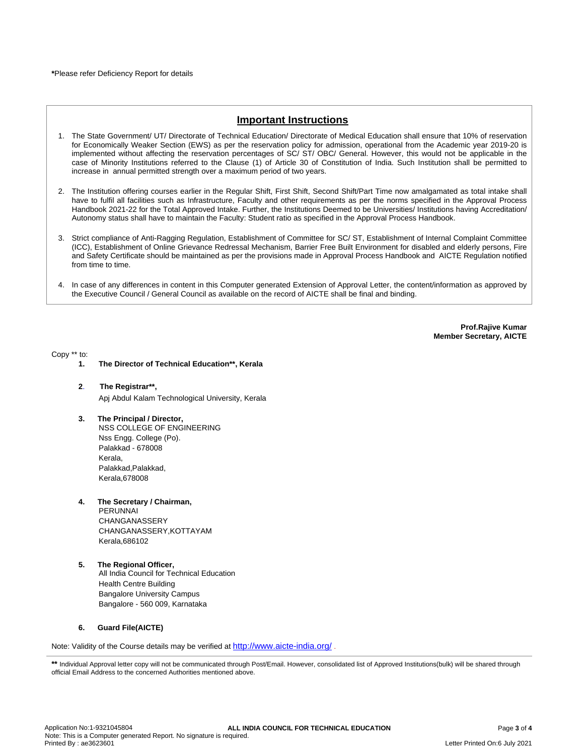#### **\***Please refer Deficiency Report for details

## **Important Instructions**

- 1. The State Government/ UT/ Directorate of Technical Education/ Directorate of Medical Education shall ensure that 10% of reservation for Economically Weaker Section (EWS) as per the reservation policy for admission, operational from the Academic year 2019-20 is implemented without affecting the reservation percentages of SC/ ST/ OBC/ General. However, this would not be applicable in the case of Minority Institutions referred to the Clause (1) of Article 30 of Constitution of India. Such Institution shall be permitted to increase in annual permitted strength over a maximum period of two years.
- 2. The Institution offering courses earlier in the Regular Shift, First Shift, Second Shift/Part Time now amalgamated as total intake shall have to fulfil all facilities such as Infrastructure, Faculty and other requirements as per the norms specified in the Approval Process Handbook 2021-22 for the Total Approved Intake. Further, the Institutions Deemed to be Universities/ Institutions having Accreditation/ Autonomy status shall have to maintain the Faculty: Student ratio as specified in the Approval Process Handbook.
- 3. Strict compliance of Anti-Ragging Regulation, Establishment of Committee for SC/ ST, Establishment of Internal Complaint Committee (ICC), Establishment of Online Grievance Redressal Mechanism, Barrier Free Built Environment for disabled and elderly persons, Fire and Safety Certificate should be maintained as per the provisions made in Approval Process Handbook and AICTE Regulation notified from time to time.
- 4. In case of any differences in content in this Computer generated Extension of Approval Letter, the content/information as approved by the Executive Council / General Council as available on the record of AICTE shall be final and binding.

**Prof.Rajive Kumar Member Secretary, AICTE**

Copy \*\* to:

- **1. The Director of Technical Education\*\*, Kerala**
- **2**. **The Registrar\*\*,** Apj Abdul Kalam Technological University, Kerala
- **3. The Principal / Director,** NSS COLLEGE OF ENGINEERING Nss Engg. College (Po). Palakkad - 678008 Kerala, Palakkad, Palakkad, Kerala,678008
- **4. The Secretary / Chairman,** PERUNNAI CHANGANASSERY CHANGANASSERY,KOTTAYAM Kerala,686102
- **5. The Regional Officer,** All India Council for Technical Education Health Centre Building Bangalore University Campus Bangalore - 560 009, Karnataka

### **6. Guard File(AICTE)**

Note: Validity of the Course details may be verified at <http://www.aicte-india.org/> **.**

<sup>\*\*</sup> Individual Approval letter copy will not be communicated through Post/Email. However, consolidated list of Approved Institutions(bulk) will be shared through official Email Address to the concerned Authorities mentioned above.